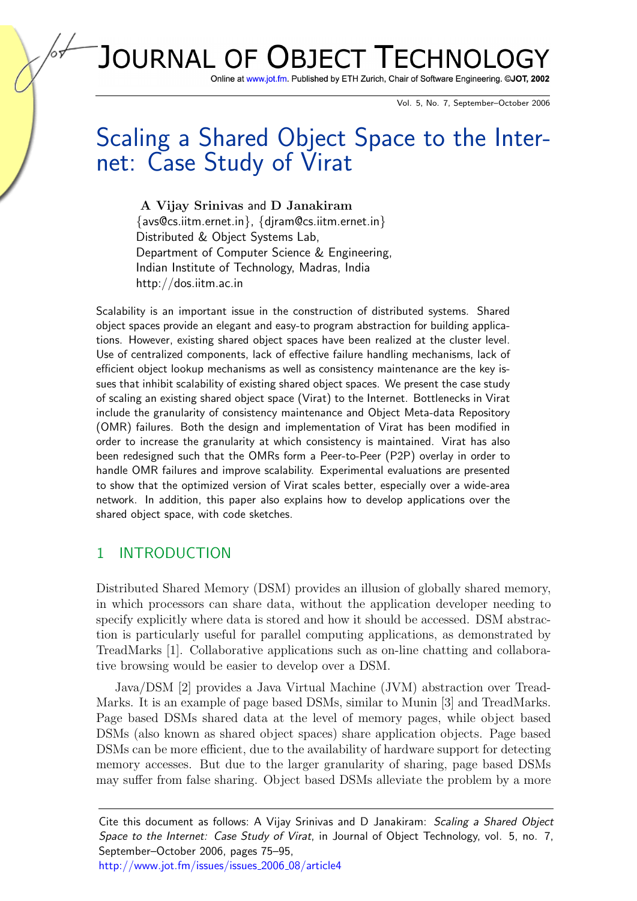# JOURNAL OF OBJECT TECHNOL

Online at www.jot.fm. Published by ETH Zurich, Chair of Software Engineering. ©JOT, 2002

Vol. 5, No. 7, September–October 2006

# Scaling a Shared Object Space to the Internet: Case Study of Virat

A Vijay Srinivas and D Janakiram {avs@cs.iitm.ernet.in}, {djram@cs.iitm.ernet.in} Distributed & Object Systems Lab, Department of Computer Science & Engineering, Indian Institute of Technology, Madras, India <http://dos.iitm.ac.in>

Scalability is an important issue in the construction of distributed systems. Shared object spaces provide an elegant and easy-to program abstraction for building applications. However, existing shared object spaces have been realized at the cluster level. Use of centralized components, lack of effective failure handling mechanisms, lack of efficient object lookup mechanisms as well as consistency maintenance are the key issues that inhibit scalability of existing shared object spaces. We present the case study of scaling an existing shared object space (Virat) to the Internet. Bottlenecks in Virat include the granularity of consistency maintenance and Object Meta-data Repository (OMR) failures. Both the design and implementation of Virat has been modified in order to increase the granularity at which consistency is maintained. Virat has also been redesigned such that the OMRs form a Peer-to-Peer (P2P) overlay in order to handle OMR failures and improve scalability. Experimental evaluations are presented to show that the optimized version of Virat scales better, especially over a wide-area network. In addition, this paper also explains how to develop applications over the shared object space, with code sketches.

# 1 INTRODUCTION

Distributed Shared Memory (DSM) provides an illusion of globally shared memory, in which processors can share data, without the application developer needing to specify explicitly where data is stored and how it should be accessed. DSM abstraction is particularly useful for parallel computing applications, as demonstrated by TreadMarks [\[1\]](#page-14-0). Collaborative applications such as on-line chatting and collaborative browsing would be easier to develop over a DSM.

Java/DSM [\[2\]](#page-14-1) provides a Java Virtual Machine (JVM) abstraction over Tread-Marks. It is an example of page based DSMs, similar to Munin [\[3\]](#page-14-2) and TreadMarks. Page based DSMs shared data at the level of memory pages, while object based DSMs (also known as shared object spaces) share application objects. Page based DSMs can be more efficient, due to the availability of hardware support for detecting memory accesses. But due to the larger granularity of sharing, page based DSMs may suffer from false sharing. Object based DSMs alleviate the problem by a more

[http://www.jot.fm/issues/issues](http://www.jot.fm/issues/issues_2006_09/article4)\_2006\_08/article4

Cite this document as follows: A Vijay Srinivas and D Janakiram: Scaling a Shared Object Space to the Internet: Case Study of Virat, in Journal of Object Technology, vol. 5, no. 7, September–October 2006, pages 75–95,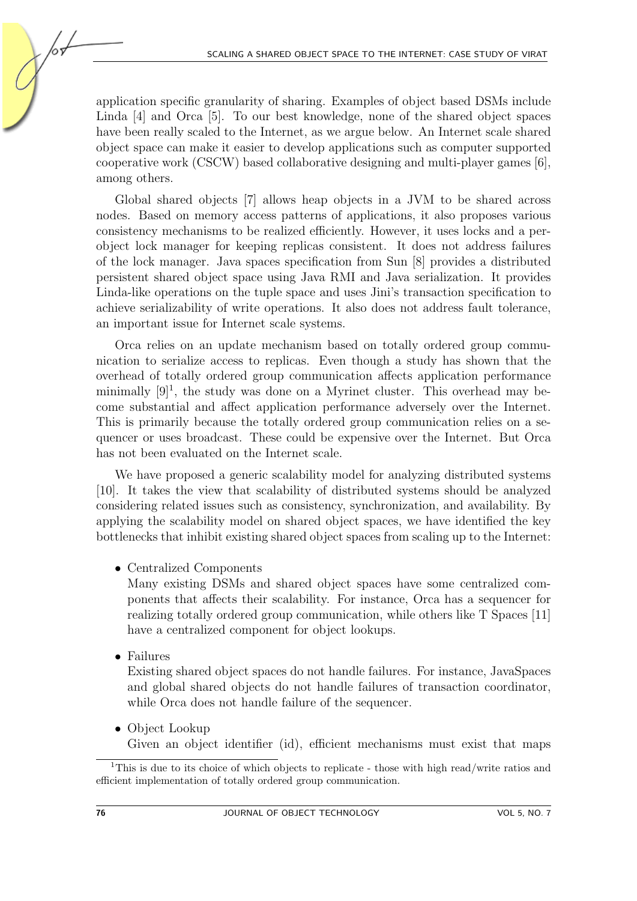application specific granularity of sharing. Examples of object based DSMs include Linda [\[4\]](#page-14-3) and Orca [\[5\]](#page-14-4). To our best knowledge, none of the shared object spaces have been really scaled to the Internet, as we argue below. An Internet scale shared object space can make it easier to develop applications such as computer supported cooperative work (CSCW) based collaborative designing and multi-player games [\[6\]](#page-14-5), among others.

Global shared objects [\[7\]](#page-14-6) allows heap objects in a JVM to be shared across nodes. Based on memory access patterns of applications, it also proposes various consistency mechanisms to be realized efficiently. However, it uses locks and a perobject lock manager for keeping replicas consistent. It does not address failures of the lock manager. Java spaces specification from Sun [\[8\]](#page-14-7) provides a distributed persistent shared object space using Java RMI and Java serialization. It provides Linda-like operations on the tuple space and uses Jini's transaction specification to achieve serializability of write operations. It also does not address fault tolerance, an important issue for Internet scale systems.

Orca relies on an update mechanism based on totally ordered group communication to serialize access to replicas. Even though a study has shown that the overhead of totally ordered group communication affects application performance minimally  $[9]^1$  $[9]^1$  $[9]^1$ , the study was done on a Myrinet cluster. This overhead may become substantial and affect application performance adversely over the Internet. This is primarily because the totally ordered group communication relies on a sequencer or uses broadcast. These could be expensive over the Internet. But Orca has not been evaluated on the Internet scale.

We have proposed a generic scalability model for analyzing distributed systems [\[10\]](#page-14-9). It takes the view that scalability of distributed systems should be analyzed considering related issues such as consistency, synchronization, and availability. By applying the scalability model on shared object spaces, we have identified the key bottlenecks that inhibit existing shared object spaces from scaling up to the Internet:

• Centralized Components

Many existing DSMs and shared object spaces have some centralized components that affects their scalability. For instance, Orca has a sequencer for realizing totally ordered group communication, while others like T Spaces [\[11\]](#page-15-0) have a centralized component for object lookups.

• Failures

Existing shared object spaces do not handle failures. For instance, JavaSpaces and global shared objects do not handle failures of transaction coordinator, while Orca does not handle failure of the sequencer.

• Object Lookup

Given an object identifier (id), efficient mechanisms must exist that maps

<span id="page-1-0"></span><sup>1</sup>This is due to its choice of which objects to replicate - those with high read/write ratios and efficient implementation of totally ordered group communication.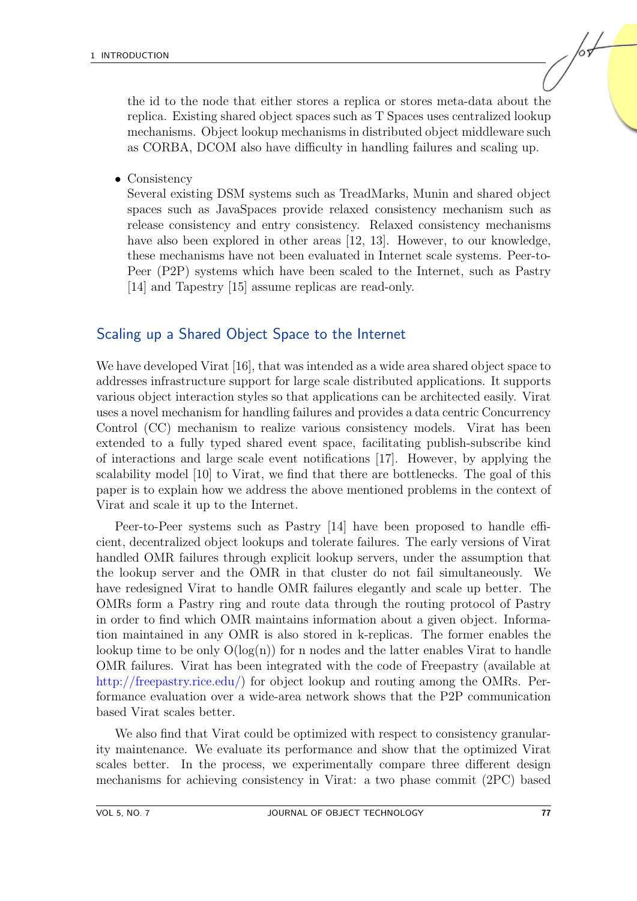the id to the node that either stores a replica or stores meta-data about the replica. Existing shared object spaces such as T Spaces uses centralized lookup mechanisms. Object lookup mechanisms in distributed object middleware such as CORBA, DCOM also have difficulty in handling failures and scaling up.

• Consistency

Several existing DSM systems such as TreadMarks, Munin and shared object spaces such as JavaSpaces provide relaxed consistency mechanism such as release consistency and entry consistency. Relaxed consistency mechanisms have also been explored in other areas [\[12,](#page-15-1) [13\]](#page-15-2). However, to our knowledge, these mechanisms have not been evaluated in Internet scale systems. Peer-to-Peer (P2P) systems which have been scaled to the Internet, such as Pastry [\[14\]](#page-15-3) and Tapestry [\[15\]](#page-15-4) assume replicas are read-only.

#### Scaling up a Shared Object Space to the Internet

We have developed Virat [\[16\]](#page-15-5), that was intended as a wide area shared object space to addresses infrastructure support for large scale distributed applications. It supports various object interaction styles so that applications can be architected easily. Virat uses a novel mechanism for handling failures and provides a data centric Concurrency Control (CC) mechanism to realize various consistency models. Virat has been extended to a fully typed shared event space, facilitating publish-subscribe kind of interactions and large scale event notifications [\[17\]](#page-15-6). However, by applying the scalability model [\[10\]](#page-14-9) to Virat, we find that there are bottlenecks. The goal of this paper is to explain how we address the above mentioned problems in the context of Virat and scale it up to the Internet.

Peer-to-Peer systems such as Pastry [\[14\]](#page-15-3) have been proposed to handle efficient, decentralized object lookups and tolerate failures. The early versions of Virat handled OMR failures through explicit lookup servers, under the assumption that the lookup server and the OMR in that cluster do not fail simultaneously. We have redesigned Virat to handle OMR failures elegantly and scale up better. The OMRs form a Pastry ring and route data through the routing protocol of Pastry in order to find which OMR maintains information about a given object. Information maintained in any OMR is also stored in k-replicas. The former enables the lookup time to be only  $O(log(n))$  for n nodes and the latter enables Virat to handle OMR failures. Virat has been integrated with the code of Freepastry (available at [http://freepastry.rice.edu/\)](http://freepastry.rice.edu/) for object lookup and routing among the OMRs. Performance evaluation over a wide-area network shows that the P2P communication based Virat scales better.

We also find that Virat could be optimized with respect to consistency granularity maintenance. We evaluate its performance and show that the optimized Virat scales better. In the process, we experimentally compare three different design mechanisms for achieving consistency in Virat: a two phase commit (2PC) based /о+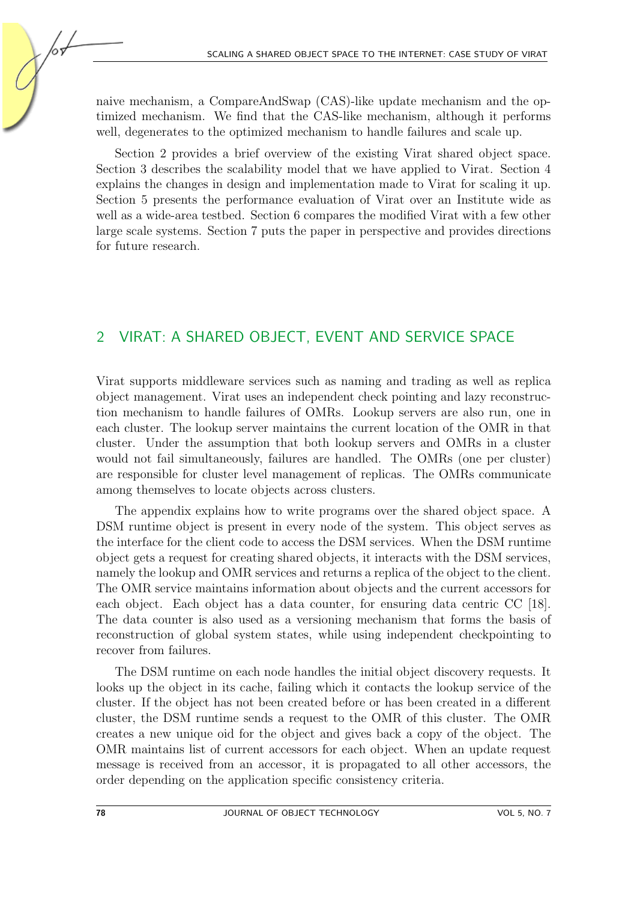naive mechanism, a CompareAndSwap (CAS)-like update mechanism and the optimized mechanism. We find that the CAS-like mechanism, although it performs well, degenerates to the optimized mechanism to handle failures and scale up.

Section [2](#page-3-0) provides a brief overview of the existing Virat shared object space. Section [3](#page-4-0) describes the scalability model that we have applied to Virat. Section [4](#page-5-0) explains the changes in design and implementation made to Virat for scaling it up. Section [5](#page-10-0) presents the performance evaluation of Virat over an Institute wide as well as a wide-area testbed. Section [6](#page-12-0) compares the modified Virat with a few other large scale systems. Section [7](#page-13-0) puts the paper in perspective and provides directions for future research.

#### <span id="page-3-0"></span>2 VIRAT: A SHARED OBJECT, EVENT AND SERVICE SPACE

Virat supports middleware services such as naming and trading as well as replica object management. Virat uses an independent check pointing and lazy reconstruction mechanism to handle failures of OMRs. Lookup servers are also run, one in each cluster. The lookup server maintains the current location of the OMR in that cluster. Under the assumption that both lookup servers and OMRs in a cluster would not fail simultaneously, failures are handled. The OMRs (one per cluster) are responsible for cluster level management of replicas. The OMRs communicate among themselves to locate objects across clusters.

The appendix explains how to write programs over the shared object space. A DSM runtime object is present in every node of the system. This object serves as the interface for the client code to access the DSM services. When the DSM runtime object gets a request for creating shared objects, it interacts with the DSM services, namely the lookup and OMR services and returns a replica of the object to the client. The OMR service maintains information about objects and the current accessors for each object. Each object has a data counter, for ensuring data centric CC [\[18\]](#page-15-7). The data counter is also used as a versioning mechanism that forms the basis of reconstruction of global system states, while using independent checkpointing to recover from failures.

The DSM runtime on each node handles the initial object discovery requests. It looks up the object in its cache, failing which it contacts the lookup service of the cluster. If the object has not been created before or has been created in a different cluster, the DSM runtime sends a request to the OMR of this cluster. The OMR creates a new unique oid for the object and gives back a copy of the object. The OMR maintains list of current accessors for each object. When an update request message is received from an accessor, it is propagated to all other accessors, the order depending on the application specific consistency criteria.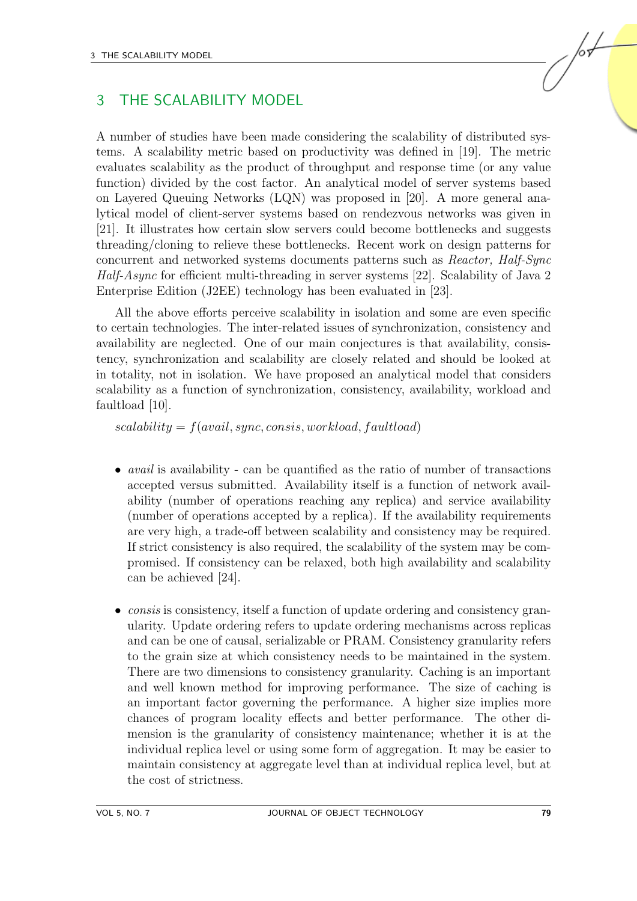# <span id="page-4-0"></span>3 THE SCALABILITY MODEL

A number of studies have been made considering the scalability of distributed systems. A scalability metric based on productivity was defined in [\[19\]](#page-15-8). The metric evaluates scalability as the product of throughput and response time (or any value function) divided by the cost factor. An analytical model of server systems based on Layered Queuing Networks (LQN) was proposed in [\[20\]](#page-15-9). A more general analytical model of client-server systems based on rendezvous networks was given in [\[21\]](#page-15-10). It illustrates how certain slow servers could become bottlenecks and suggests threading/cloning to relieve these bottlenecks. Recent work on design patterns for concurrent and networked systems documents patterns such as Reactor, Half-Sync Half-Async for efficient multi-threading in server systems [\[22\]](#page-16-0). Scalability of Java 2 Enterprise Edition (J2EE) technology has been evaluated in [\[23\]](#page-16-1).

All the above efforts perceive scalability in isolation and some are even specific to certain technologies. The inter-related issues of synchronization, consistency and availability are neglected. One of our main conjectures is that availability, consistency, synchronization and scalability are closely related and should be looked at in totality, not in isolation. We have proposed an analytical model that considers scalability as a function of synchronization, consistency, availability, workload and faultload [\[10\]](#page-14-9).

 $scalability = f(avail, sync, consist, workload, faultload)$ 

- *avail* is availability can be quantified as the ratio of number of transactions accepted versus submitted. Availability itself is a function of network availability (number of operations reaching any replica) and service availability (number of operations accepted by a replica). If the availability requirements are very high, a trade-off between scalability and consistency may be required. If strict consistency is also required, the scalability of the system may be compromised. If consistency can be relaxed, both high availability and scalability can be achieved [\[24\]](#page-16-2).
- *consis* is consistency, itself a function of update ordering and consistency granularity. Update ordering refers to update ordering mechanisms across replicas and can be one of causal, serializable or PRAM. Consistency granularity refers to the grain size at which consistency needs to be maintained in the system. There are two dimensions to consistency granularity. Caching is an important and well known method for improving performance. The size of caching is an important factor governing the performance. A higher size implies more chances of program locality effects and better performance. The other dimension is the granularity of consistency maintenance; whether it is at the individual replica level or using some form of aggregation. It may be easier to maintain consistency at aggregate level than at individual replica level, but at the cost of strictness.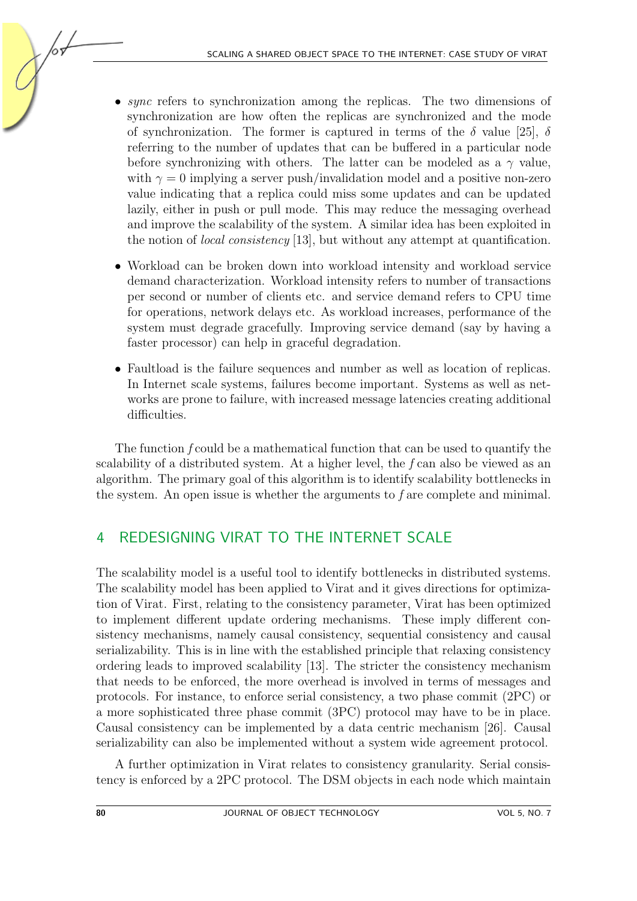- sync refers to synchronization among the replicas. The two dimensions of synchronization are how often the replicas are synchronized and the mode of synchronization. The former is captured in terms of the  $\delta$  value [\[25\]](#page-16-3),  $\delta$ referring to the number of updates that can be buffered in a particular node before synchronizing with others. The latter can be modeled as a  $\gamma$  value, with  $\gamma = 0$  implying a server push/invalidation model and a positive non-zero value indicating that a replica could miss some updates and can be updated lazily, either in push or pull mode. This may reduce the messaging overhead and improve the scalability of the system. A similar idea has been exploited in the notion of local consistency [\[13\]](#page-15-2), but without any attempt at quantification.
- Workload can be broken down into workload intensity and workload service demand characterization. Workload intensity refers to number of transactions per second or number of clients etc. and service demand refers to CPU time for operations, network delays etc. As workload increases, performance of the system must degrade gracefully. Improving service demand (say by having a faster processor) can help in graceful degradation.
- Faultload is the failure sequences and number as well as location of replicas. In Internet scale systems, failures become important. Systems as well as networks are prone to failure, with increased message latencies creating additional difficulties.

The function f could be a mathematical function that can be used to quantify the scalability of a distributed system. At a higher level, the f can also be viewed as an algorithm. The primary goal of this algorithm is to identify scalability bottlenecks in the system. An open issue is whether the arguments to  $f$  are complete and minimal.

# <span id="page-5-0"></span>4 REDESIGNING VIRAT TO THE INTERNET SCALE

The scalability model is a useful tool to identify bottlenecks in distributed systems. The scalability model has been applied to Virat and it gives directions for optimization of Virat. First, relating to the consistency parameter, Virat has been optimized to implement different update ordering mechanisms. These imply different consistency mechanisms, namely causal consistency, sequential consistency and causal serializability. This is in line with the established principle that relaxing consistency ordering leads to improved scalability [\[13\]](#page-15-2). The stricter the consistency mechanism that needs to be enforced, the more overhead is involved in terms of messages and protocols. For instance, to enforce serial consistency, a two phase commit (2PC) or a more sophisticated three phase commit (3PC) protocol may have to be in place. Causal consistency can be implemented by a data centric mechanism [\[26\]](#page-16-4). Causal serializability can also be implemented without a system wide agreement protocol.

A further optimization in Virat relates to consistency granularity. Serial consistency is enforced by a 2PC protocol. The DSM objects in each node which maintain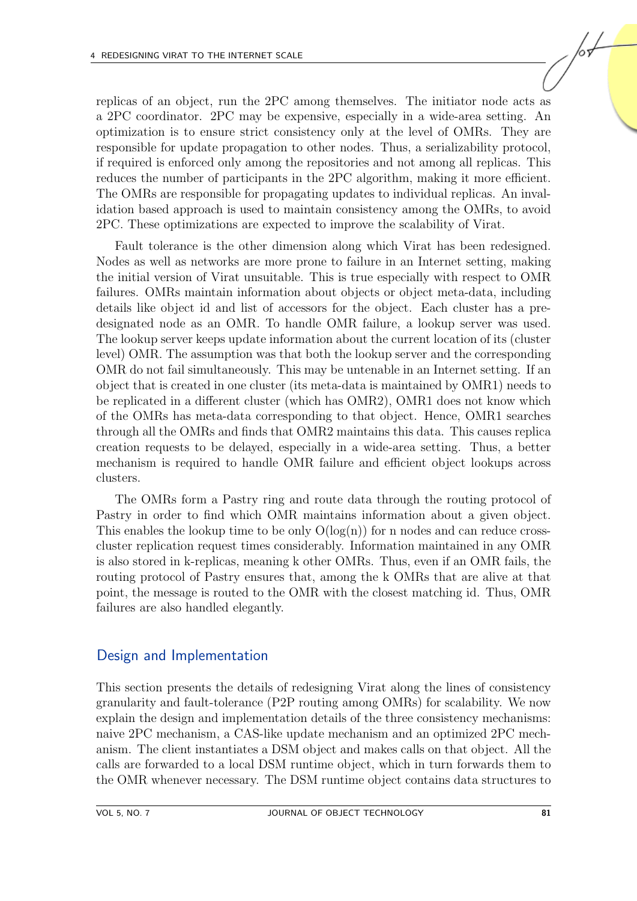replicas of an object, run the 2PC among themselves. The initiator node acts as a 2PC coordinator. 2PC may be expensive, especially in a wide-area setting. An optimization is to ensure strict consistency only at the level of OMRs. They are responsible for update propagation to other nodes. Thus, a serializability protocol, if required is enforced only among the repositories and not among all replicas. This reduces the number of participants in the 2PC algorithm, making it more efficient. The OMRs are responsible for propagating updates to individual replicas. An invalidation based approach is used to maintain consistency among the OMRs, to avoid 2PC. These optimizations are expected to improve the scalability of Virat.

Fault tolerance is the other dimension along which Virat has been redesigned. Nodes as well as networks are more prone to failure in an Internet setting, making the initial version of Virat unsuitable. This is true especially with respect to OMR failures. OMRs maintain information about objects or object meta-data, including details like object id and list of accessors for the object. Each cluster has a predesignated node as an OMR. To handle OMR failure, a lookup server was used. The lookup server keeps update information about the current location of its (cluster level) OMR. The assumption was that both the lookup server and the corresponding OMR do not fail simultaneously. This may be untenable in an Internet setting. If an object that is created in one cluster (its meta-data is maintained by OMR1) needs to be replicated in a different cluster (which has OMR2), OMR1 does not know which of the OMRs has meta-data corresponding to that object. Hence, OMR1 searches through all the OMRs and finds that OMR2 maintains this data. This causes replica creation requests to be delayed, especially in a wide-area setting. Thus, a better mechanism is required to handle OMR failure and efficient object lookups across clusters.

The OMRs form a Pastry ring and route data through the routing protocol of Pastry in order to find which OMR maintains information about a given object. This enables the lookup time to be only  $O(log(n))$  for n nodes and can reduce crosscluster replication request times considerably. Information maintained in any OMR is also stored in k-replicas, meaning k other OMRs. Thus, even if an OMR fails, the routing protocol of Pastry ensures that, among the k OMRs that are alive at that point, the message is routed to the OMR with the closest matching id. Thus, OMR failures are also handled elegantly.

#### Design and Implementation

This section presents the details of redesigning Virat along the lines of consistency granularity and fault-tolerance (P2P routing among OMRs) for scalability. We now explain the design and implementation details of the three consistency mechanisms: naive 2PC mechanism, a CAS-like update mechanism and an optimized 2PC mechanism. The client instantiates a DSM object and makes calls on that object. All the calls are forwarded to a local DSM runtime object, which in turn forwards them to the OMR whenever necessary. The DSM runtime object contains data structures to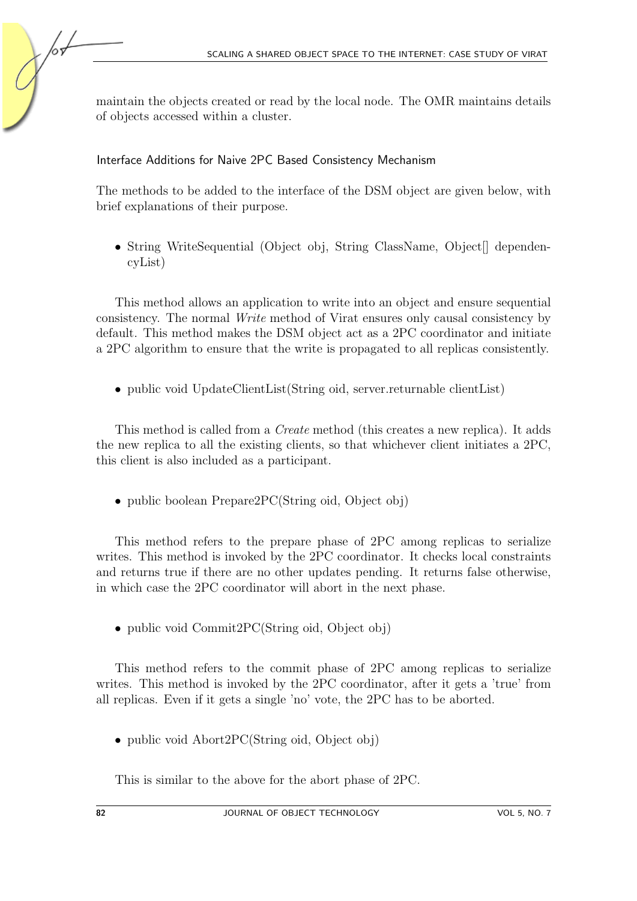maintain the objects created or read by the local node. The OMR maintains details of objects accessed within a cluster.

#### Interface Additions for Naive 2PC Based Consistency Mechanism

The methods to be added to the interface of the DSM object are given below, with brief explanations of their purpose.

• String WriteSequential (Object obj, String ClassName, Object | dependencyList)

This method allows an application to write into an object and ensure sequential consistency. The normal Write method of Virat ensures only causal consistency by default. This method makes the DSM object act as a 2PC coordinator and initiate a 2PC algorithm to ensure that the write is propagated to all replicas consistently.

• public void UpdateClientList(String oid, server.returnable clientList)

This method is called from a Create method (this creates a new replica). It adds the new replica to all the existing clients, so that whichever client initiates a 2PC, this client is also included as a participant.

• public boolean Prepare2PC(String oid, Object obj)

This method refers to the prepare phase of 2PC among replicas to serialize writes. This method is invoked by the 2PC coordinator. It checks local constraints and returns true if there are no other updates pending. It returns false otherwise, in which case the 2PC coordinator will abort in the next phase.

• public void Commit 2PC (String oid, Object obj)

This method refers to the commit phase of 2PC among replicas to serialize writes. This method is invoked by the 2PC coordinator, after it gets a 'true' from all replicas. Even if it gets a single 'no' vote, the 2PC has to be aborted.

• public void Abort2PC(String oid, Object obj)

This is similar to the above for the abort phase of 2PC.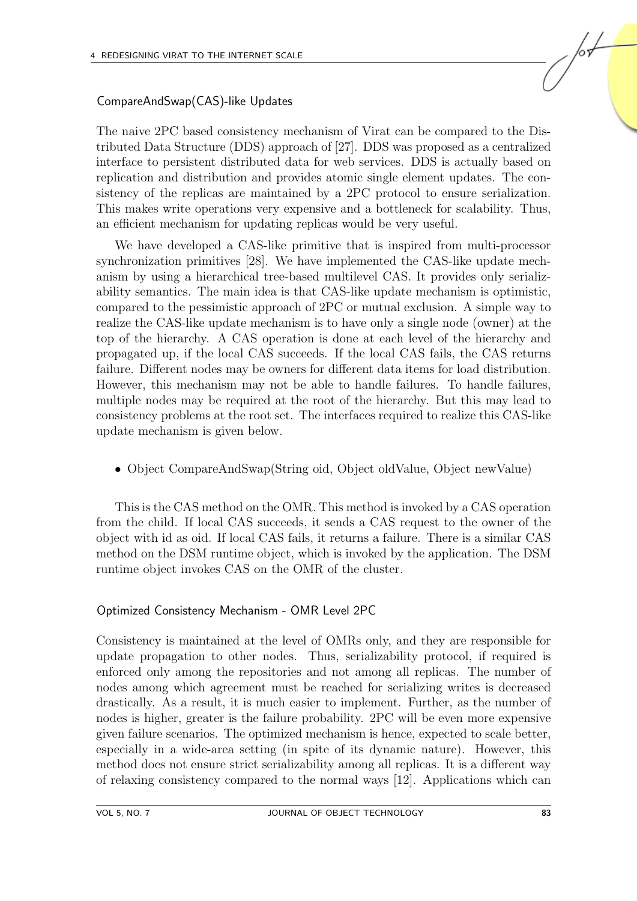#### CompareAndSwap(CAS)-like Updates

The naive 2PC based consistency mechanism of Virat can be compared to the Distributed Data Structure (DDS) approach of [\[27\]](#page-16-5). DDS was proposed as a centralized interface to persistent distributed data for web services. DDS is actually based on replication and distribution and provides atomic single element updates. The consistency of the replicas are maintained by a 2PC protocol to ensure serialization. This makes write operations very expensive and a bottleneck for scalability. Thus, an efficient mechanism for updating replicas would be very useful.

We have developed a CAS-like primitive that is inspired from multi-processor synchronization primitives [\[28\]](#page-16-6). We have implemented the CAS-like update mechanism by using a hierarchical tree-based multilevel CAS. It provides only serializability semantics. The main idea is that CAS-like update mechanism is optimistic, compared to the pessimistic approach of 2PC or mutual exclusion. A simple way to realize the CAS-like update mechanism is to have only a single node (owner) at the top of the hierarchy. A CAS operation is done at each level of the hierarchy and propagated up, if the local CAS succeeds. If the local CAS fails, the CAS returns failure. Different nodes may be owners for different data items for load distribution. However, this mechanism may not be able to handle failures. To handle failures, multiple nodes may be required at the root of the hierarchy. But this may lead to consistency problems at the root set. The interfaces required to realize this CAS-like update mechanism is given below.

• Object CompareAndSwap(String oid, Object oldValue, Object newValue)

This is the CAS method on the OMR. This method is invoked by a CAS operation from the child. If local CAS succeeds, it sends a CAS request to the owner of the object with id as oid. If local CAS fails, it returns a failure. There is a similar CAS method on the DSM runtime object, which is invoked by the application. The DSM runtime object invokes CAS on the OMR of the cluster.

#### Optimized Consistency Mechanism - OMR Level 2PC

Consistency is maintained at the level of OMRs only, and they are responsible for update propagation to other nodes. Thus, serializability protocol, if required is enforced only among the repositories and not among all replicas. The number of nodes among which agreement must be reached for serializing writes is decreased drastically. As a result, it is much easier to implement. Further, as the number of nodes is higher, greater is the failure probability. 2PC will be even more expensive given failure scenarios. The optimized mechanism is hence, expected to scale better, especially in a wide-area setting (in spite of its dynamic nature). However, this method does not ensure strict serializability among all replicas. It is a different way of relaxing consistency compared to the normal ways [\[12\]](#page-15-1). Applications which can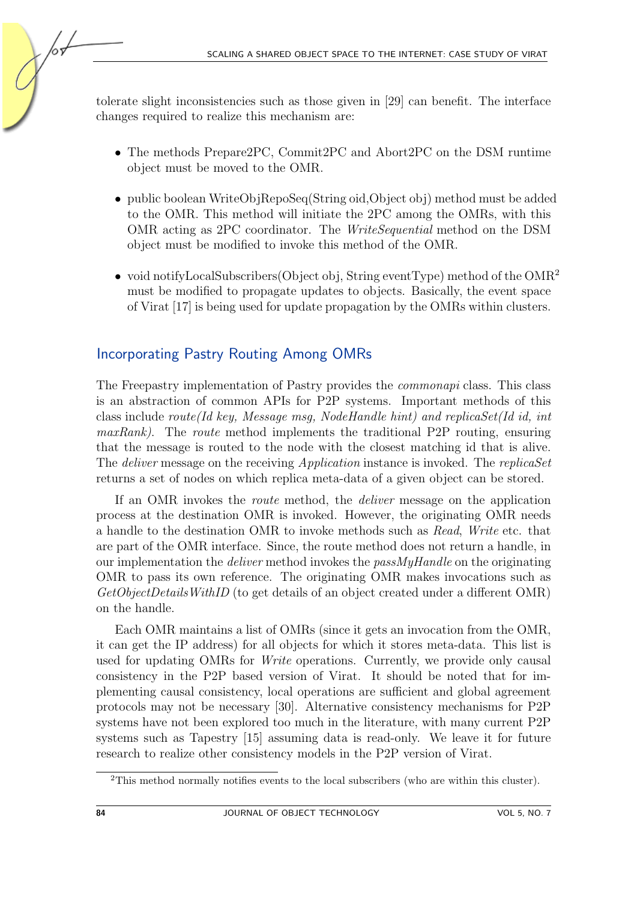tolerate slight inconsistencies such as those given in [\[29\]](#page-16-7) can benefit. The interface changes required to realize this mechanism are:

- The methods Prepare2PC, Commit2PC and Abort2PC on the DSM runtime object must be moved to the OMR.
- public boolean WriteObjRepoSeq(String oid,Object obj) method must be added to the OMR. This method will initiate the 2PC among the OMRs, with this OMR acting as 2PC coordinator. The WriteSequential method on the DSM object must be modified to invoke this method of the OMR.
- void notifyLocalSubscribers(Object obj, String eventType) method of the OMR<sup>[2](#page-9-0)</sup> must be modified to propagate updates to objects. Basically, the event space of Virat [\[17\]](#page-15-6) is being used for update propagation by the OMRs within clusters.

#### Incorporating Pastry Routing Among OMRs

The Freepastry implementation of Pastry provides the commonapi class. This class is an abstraction of common APIs for P2P systems. Important methods of this class include route(Id key, Message msg, NodeHandle hint) and replicaSet(Id id, int  $maxRank$ ). The route method implements the traditional P2P routing, ensuring that the message is routed to the node with the closest matching id that is alive. The *deliver* message on the receiving *Application* instance is invoked. The *replicaSet* returns a set of nodes on which replica meta-data of a given object can be stored.

If an OMR invokes the route method, the deliver message on the application process at the destination OMR is invoked. However, the originating OMR needs a handle to the destination OMR to invoke methods such as Read, Write etc. that are part of the OMR interface. Since, the route method does not return a handle, in our implementation the deliver method invokes the passMyHandle on the originating OMR to pass its own reference. The originating OMR makes invocations such as GetObjectDetailsWithID (to get details of an object created under a different OMR) on the handle.

Each OMR maintains a list of OMRs (since it gets an invocation from the OMR, it can get the IP address) for all objects for which it stores meta-data. This list is used for updating OMRs for Write operations. Currently, we provide only causal consistency in the P2P based version of Virat. It should be noted that for implementing causal consistency, local operations are sufficient and global agreement protocols may not be necessary [\[30\]](#page-16-8). Alternative consistency mechanisms for P2P systems have not been explored too much in the literature, with many current P2P systems such as Tapestry [\[15\]](#page-15-4) assuming data is read-only. We leave it for future research to realize other consistency models in the P2P version of Virat.

105

<span id="page-9-0"></span><sup>2</sup>This method normally notifies events to the local subscribers (who are within this cluster).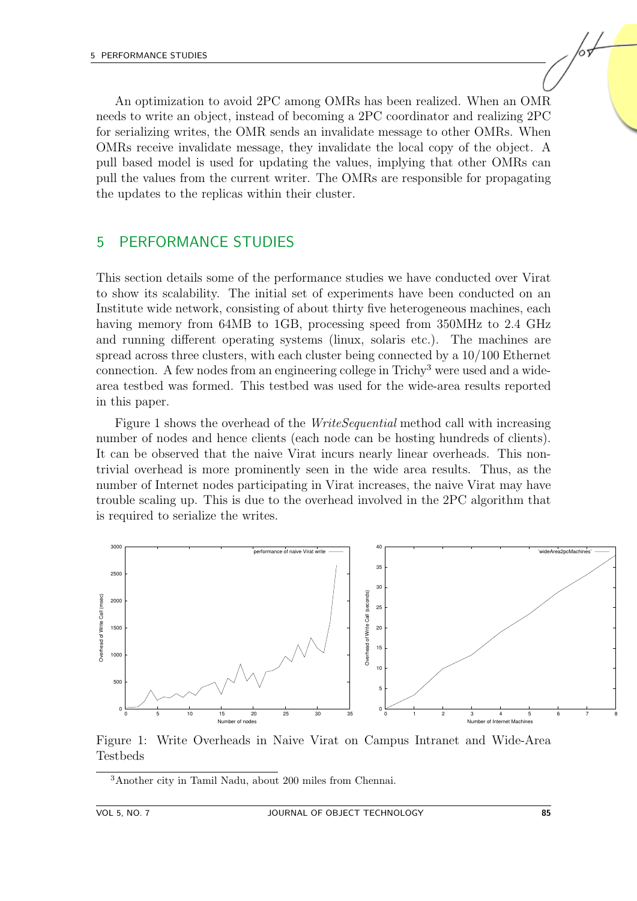An optimization to avoid 2PC among OMRs has been realized. When an OMR needs to write an object, instead of becoming a 2PC coordinator and realizing 2PC for serializing writes, the OMR sends an invalidate message to other OMRs. When OMRs receive invalidate message, they invalidate the local copy of the object. A pull based model is used for updating the values, implying that other OMRs can pull the values from the current writer. The OMRs are responsible for propagating the updates to the replicas within their cluster.

#### <span id="page-10-0"></span>5 PERFORMANCE STUDIES

This section details some of the performance studies we have conducted over Virat to show its scalability. The initial set of experiments have been conducted on an Institute wide network, consisting of about thirty five heterogeneous machines, each having memory from 64MB to 1GB, processing speed from 350MHz to 2.4 GHz and running different operating systems (linux, solaris etc.). The machines are spread across three clusters, with each cluster being connected by a 10/100 Ethernet connection. A few nodes from an engineering college in Trichy[3](#page-10-1) were used and a widearea testbed was formed. This testbed was used for the wide-area results reported in this paper.

Figure [1](#page-10-2) shows the overhead of the *WriteSequential* method call with increasing number of nodes and hence clients (each node can be hosting hundreds of clients). It can be observed that the naive Virat incurs nearly linear overheads. This nontrivial overhead is more prominently seen in the wide area results. Thus, as the number of Internet nodes participating in Virat increases, the naive Virat may have trouble scaling up. This is due to the overhead involved in the 2PC algorithm that is required to serialize the writes.



<span id="page-10-2"></span>Figure 1: Write Overheads in Naive Virat on Campus Intranet and Wide-Area Testbeds

<span id="page-10-1"></span><sup>3</sup>Another city in Tamil Nadu, about 200 miles from Chennai.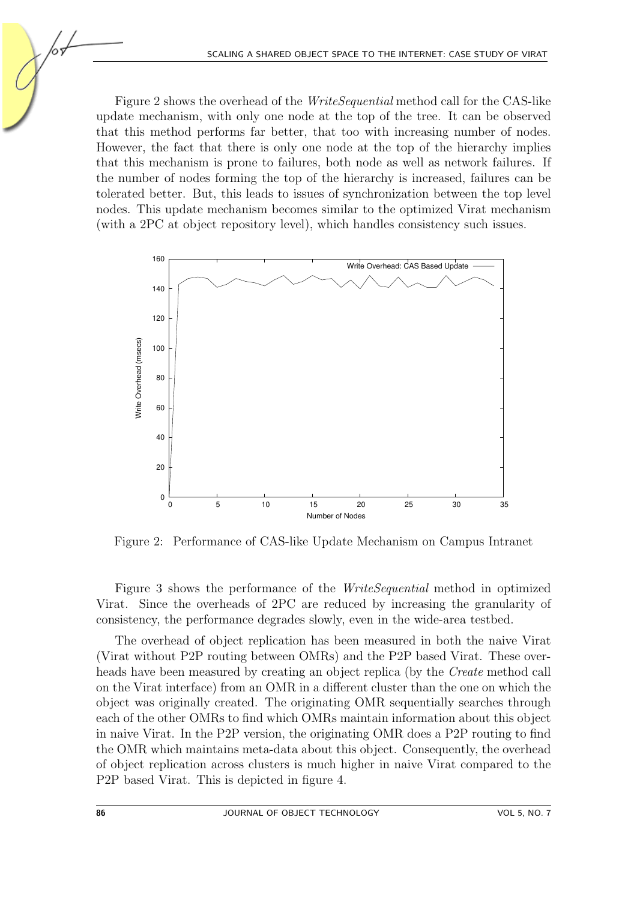Figure [2](#page-11-0) shows the overhead of the WriteSequential method call for the CAS-like update mechanism, with only one node at the top of the tree. It can be observed that this method performs far better, that too with increasing number of nodes. However, the fact that there is only one node at the top of the hierarchy implies that this mechanism is prone to failures, both node as well as network failures. If the number of nodes forming the top of the hierarchy is increased, failures can be tolerated better. But, this leads to issues of synchronization between the top level nodes. This update mechanism becomes similar to the optimized Virat mechanism (with a 2PC at object repository level), which handles consistency such issues.



<span id="page-11-0"></span>Figure 2: Performance of CAS-like Update Mechanism on Campus Intranet

Figure [3](#page-12-1) shows the performance of the WriteSequential method in optimized Virat. Since the overheads of 2PC are reduced by increasing the granularity of consistency, the performance degrades slowly, even in the wide-area testbed.

The overhead of object replication has been measured in both the naive Virat (Virat without P2P routing between OMRs) and the P2P based Virat. These overheads have been measured by creating an object replica (by the Create method call on the Virat interface) from an OMR in a different cluster than the one on which the object was originally created. The originating OMR sequentially searches through each of the other OMRs to find which OMRs maintain information about this object in naive Virat. In the P2P version, the originating OMR does a P2P routing to find the OMR which maintains meta-data about this object. Consequently, the overhead of object replication across clusters is much higher in naive Virat compared to the P2P based Virat. This is depicted in figure [4.](#page-12-2)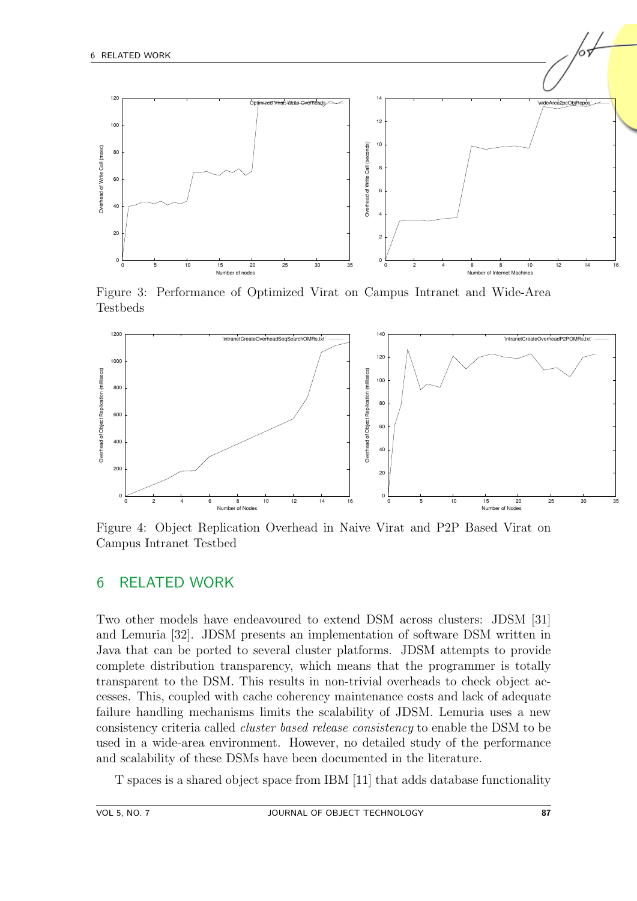

<span id="page-12-1"></span>Figure 3: Performance of Optimized Virat on Campus Intranet and Wide-Area Testbeds



<span id="page-12-2"></span>Figure 4: Object Replication Overhead in Naive Virat and P2P Based Virat on Campus Intranet Testbed

#### <span id="page-12-0"></span>6 RELATED WORK

Two other models have endeavoured to extend DSM across clusters: JDSM [\[31\]](#page-16-9) and Lemuria [\[32\]](#page-16-10). JDSM presents an implementation of software DSM written in Java that can be ported to several cluster platforms. JDSM attempts to provide complete distribution transparency, which means that the programmer is totally transparent to the DSM. This results in non-trivial overheads to check object accesses. This, coupled with cache coherency maintenance costs and lack of adequate failure handling mechanisms limits the scalability of JDSM. Lemuria uses a new consistency criteria called cluster based release consistency to enable the DSM to be used in a wide-area environment. However, no detailed study of the performance and scalability of these DSMs have been documented in the literature.

T spaces is a shared object space from IBM [\[11\]](#page-15-0) that adds database functionality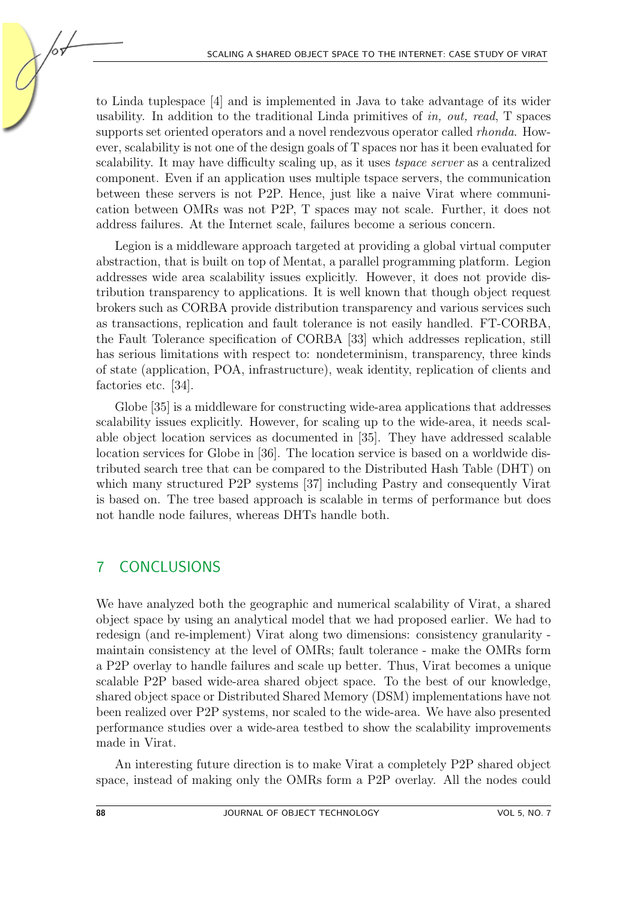to Linda tuplespace [\[4\]](#page-14-3) and is implemented in Java to take advantage of its wider usability. In addition to the traditional Linda primitives of in, out, read,  $T$  spaces supports set oriented operators and a novel rendezvous operator called *rhonda*. However, scalability is not one of the design goals of T spaces nor has it been evaluated for scalability. It may have difficulty scaling up, as it uses tspace server as a centralized component. Even if an application uses multiple tspace servers, the communication between these servers is not P2P. Hence, just like a naive Virat where communication between OMRs was not P2P, T spaces may not scale. Further, it does not address failures. At the Internet scale, failures become a serious concern.

Legion is a middleware approach targeted at providing a global virtual computer abstraction, that is built on top of Mentat, a parallel programming platform. Legion addresses wide area scalability issues explicitly. However, it does not provide distribution transparency to applications. It is well known that though object request brokers such as CORBA provide distribution transparency and various services such as transactions, replication and fault tolerance is not easily handled. FT-CORBA, the Fault Tolerance specification of CORBA [\[33\]](#page-16-11) which addresses replication, still has serious limitations with respect to: nondeterminism, transparency, three kinds of state (application, POA, infrastructure), weak identity, replication of clients and factories etc. [\[34\]](#page-17-0).

Globe [\[35\]](#page-17-1) is a middleware for constructing wide-area applications that addresses scalability issues explicitly. However, for scaling up to the wide-area, it needs scalable object location services as documented in [\[35\]](#page-17-1). They have addressed scalable location services for Globe in [\[36\]](#page-17-2). The location service is based on a worldwide distributed search tree that can be compared to the Distributed Hash Table (DHT) on which many structured P2P systems [\[37\]](#page-17-3) including Pastry and consequently Virat is based on. The tree based approach is scalable in terms of performance but does not handle node failures, whereas DHTs handle both.

# <span id="page-13-0"></span>7 CONCLUSIONS

We have analyzed both the geographic and numerical scalability of Virat, a shared object space by using an analytical model that we had proposed earlier. We had to redesign (and re-implement) Virat along two dimensions: consistency granularity maintain consistency at the level of OMRs; fault tolerance - make the OMRs form a P2P overlay to handle failures and scale up better. Thus, Virat becomes a unique scalable P2P based wide-area shared object space. To the best of our knowledge, shared object space or Distributed Shared Memory (DSM) implementations have not been realized over P2P systems, nor scaled to the wide-area. We have also presented performance studies over a wide-area testbed to show the scalability improvements made in Virat.

An interesting future direction is to make Virat a completely P2P shared object space, instead of making only the OMRs form a P2P overlay. All the nodes could

105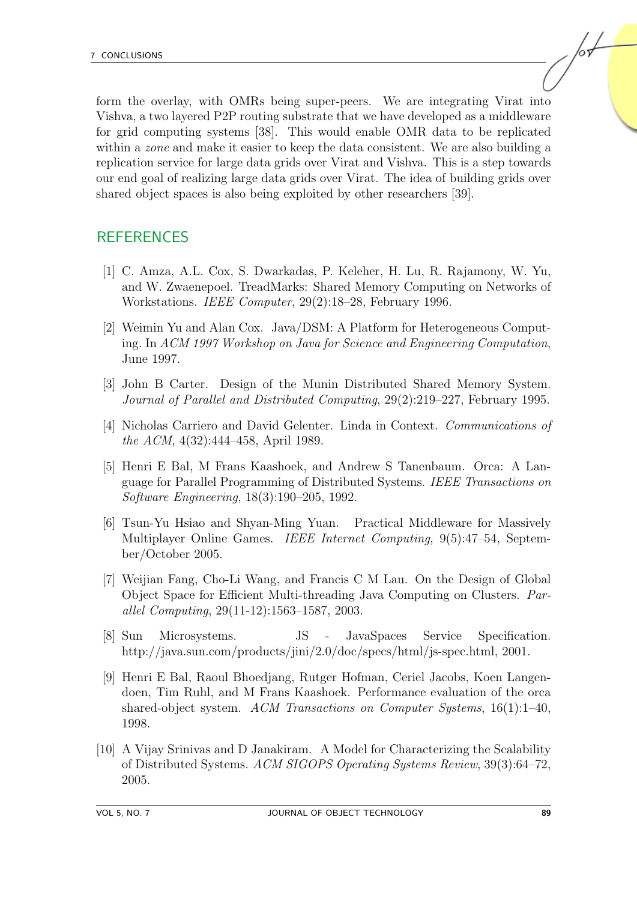form the overlay, with OMRs being super-peers. We are integrating Virat into Vishva, a two layered P2P routing substrate that we have developed as a middleware for grid computing systems [\[38\]](#page-17-4). This would enable OMR data to be replicated within a *zone* and make it easier to keep the data consistent. We are also building a replication service for large data grids over Virat and Vishva. This is a step towards our end goal of realizing large data grids over Virat. The idea of building grids over shared object spaces is also being exploited by other researchers [\[39\]](#page-17-5).

# REFERENCES

- <span id="page-14-0"></span>[1] C. Amza, A.L. Cox, S. Dwarkadas, P. Keleher, H. Lu, R. Rajamony, W. Yu, and W. Zwaenepoel. TreadMarks: Shared Memory Computing on Networks of Workstations. IEEE Computer, 29(2):18–28, February 1996.
- <span id="page-14-1"></span>[2] Weimin Yu and Alan Cox. Java/DSM: A Platform for Heterogeneous Computing. In ACM 1997 Workshop on Java for Science and Engineering Computation, June 1997.
- <span id="page-14-2"></span>[3] John B Carter. Design of the Munin Distributed Shared Memory System. Journal of Parallel and Distributed Computing, 29(2):219–227, February 1995.
- <span id="page-14-3"></span>[4] Nicholas Carriero and David Gelenter. Linda in Context. Communications of the ACM, 4(32):444–458, April 1989.
- <span id="page-14-4"></span>[5] Henri E Bal, M Frans Kaashoek, and Andrew S Tanenbaum. Orca: A Language for Parallel Programming of Distributed Systems. IEEE Transactions on Software Engineering, 18(3):190–205, 1992.
- <span id="page-14-5"></span>[6] Tsun-Yu Hsiao and Shyan-Ming Yuan. Practical Middleware for Massively Multiplayer Online Games. IEEE Internet Computing, 9(5):47–54, September/October 2005.
- <span id="page-14-6"></span>[7] Weijian Fang, Cho-Li Wang, and Francis C M Lau. On the Design of Global Object Space for Efficient Multi-threading Java Computing on Clusters. Parallel Computing, 29(11-12):1563–1587, 2003.
- <span id="page-14-7"></span>[8] Sun Microsystems. JS - JavaSpaces Service Specification. [http://java.sun.com/products/jini/2.0/doc/specs/html/js-spec.html, 2001.](http://java.sun.com/products/jini/2.0/doc/specs/html/js-spec.html)
- <span id="page-14-8"></span>[9] Henri E Bal, Raoul Bhoedjang, Rutger Hofman, Ceriel Jacobs, Koen Langendoen, Tim Ruhl, and M Frans Kaashoek. Performance evaluation of the orca shared-object system. ACM Transactions on Computer Systems,  $16(1):1-40$ , 1998.
- <span id="page-14-9"></span>[10] A Vijay Srinivas and D Janakiram. A Model for Characterizing the Scalability of Distributed Systems. ACM SIGOPS Operating Systems Review, 39(3):64–72, 2005.

/sŁ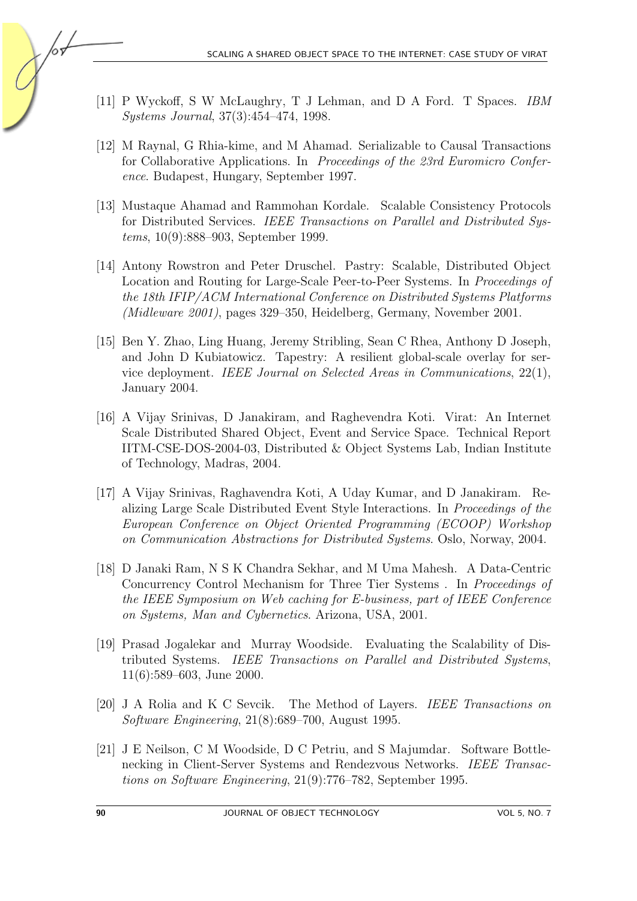- <span id="page-15-0"></span>[11] P Wyckoff, S W McLaughry, T J Lehman, and D A Ford. T Spaces. IBM Systems Journal, 37(3):454–474, 1998.
- <span id="page-15-1"></span>[12] M Raynal, G Rhia-kime, and M Ahamad. Serializable to Causal Transactions for Collaborative Applications. In Proceedings of the 23rd Euromicro Conference. Budapest, Hungary, September 1997.
- <span id="page-15-2"></span>[13] Mustaque Ahamad and Rammohan Kordale. Scalable Consistency Protocols for Distributed Services. IEEE Transactions on Parallel and Distributed Systems, 10(9):888–903, September 1999.
- <span id="page-15-3"></span>[14] Antony Rowstron and Peter Druschel. Pastry: Scalable, Distributed Object Location and Routing for Large-Scale Peer-to-Peer Systems. In Proceedings of the 18th IFIP/ACM International Conference on Distributed Systems Platforms (Midleware 2001), pages 329–350, Heidelberg, Germany, November 2001.
- <span id="page-15-4"></span>[15] Ben Y. Zhao, Ling Huang, Jeremy Stribling, Sean C Rhea, Anthony D Joseph, and John D Kubiatowicz. Tapestry: A resilient global-scale overlay for service deployment. IEEE Journal on Selected Areas in Communications, 22(1), January 2004.
- <span id="page-15-5"></span>[16] A Vijay Srinivas, D Janakiram, and Raghevendra Koti. Virat: An Internet Scale Distributed Shared Object, Event and Service Space. Technical Report IITM-CSE-DOS-2004-03, Distributed & Object Systems Lab, Indian Institute of Technology, Madras, 2004.
- <span id="page-15-6"></span>[17] A Vijay Srinivas, Raghavendra Koti, A Uday Kumar, and D Janakiram. Realizing Large Scale Distributed Event Style Interactions. In Proceedings of the European Conference on Object Oriented Programming (ECOOP) Workshop on Communication Abstractions for Distributed Systems. Oslo, Norway, 2004.
- <span id="page-15-7"></span>[18] D Janaki Ram, N S K Chandra Sekhar, and M Uma Mahesh. A Data-Centric Concurrency Control Mechanism for Three Tier Systems . In Proceedings of the IEEE Symposium on Web caching for E-business, part of IEEE Conference on Systems, Man and Cybernetics. Arizona, USA, 2001.
- <span id="page-15-8"></span>[19] Prasad Jogalekar and Murray Woodside. Evaluating the Scalability of Distributed Systems. IEEE Transactions on Parallel and Distributed Systems, 11(6):589–603, June 2000.
- <span id="page-15-9"></span>[20] J A Rolia and K C Sevcik. The Method of Layers. IEEE Transactions on Software Engineering, 21(8):689–700, August 1995.
- <span id="page-15-10"></span>[21] J E Neilson, C M Woodside, D C Petriu, and S Majumdar. Software Bottlenecking in Client-Server Systems and Rendezvous Networks. IEEE Transactions on Software Engineering, 21(9):776–782, September 1995.

105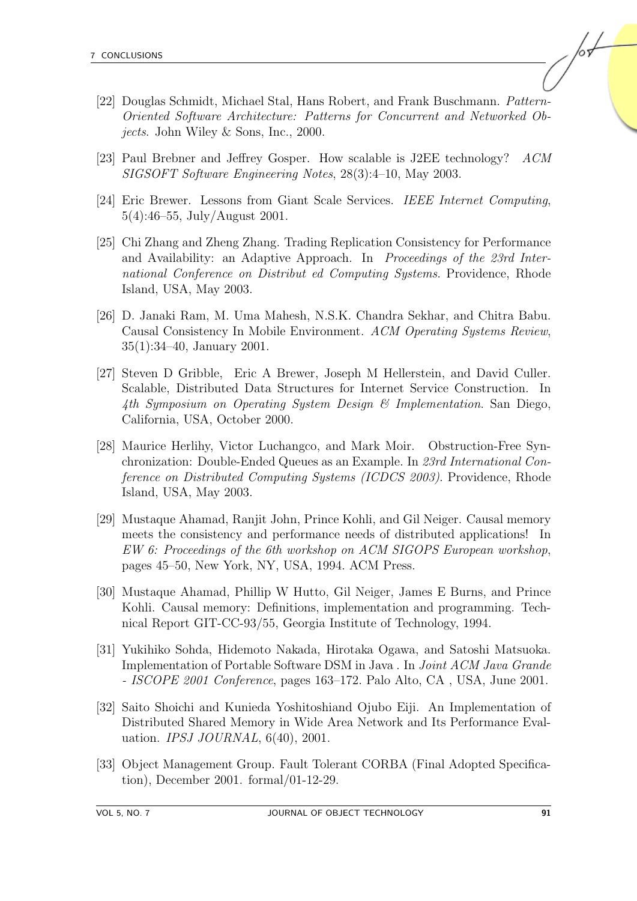- <span id="page-16-0"></span>[22] Douglas Schmidt, Michael Stal, Hans Robert, and Frank Buschmann. Pattern-Oriented Software Architecture: Patterns for Concurrent and Networked Objects. John Wiley & Sons, Inc., 2000.
- <span id="page-16-1"></span>[23] Paul Brebner and Jeffrey Gosper. How scalable is J2EE technology? ACM SIGSOFT Software Engineering Notes, 28(3):4–10, May 2003.
- <span id="page-16-2"></span>[24] Eric Brewer. Lessons from Giant Scale Services. IEEE Internet Computing, 5(4):46–55, July/August 2001.
- <span id="page-16-3"></span>[25] Chi Zhang and Zheng Zhang. Trading Replication Consistency for Performance and Availability: an Adaptive Approach. In Proceedings of the 23rd International Conference on Distribut ed Computing Systems. Providence, Rhode Island, USA, May 2003.
- <span id="page-16-4"></span>[26] D. Janaki Ram, M. Uma Mahesh, N.S.K. Chandra Sekhar, and Chitra Babu. Causal Consistency In Mobile Environment. ACM Operating Systems Review, 35(1):34–40, January 2001.
- <span id="page-16-5"></span>[27] Steven D Gribble, Eric A Brewer, Joseph M Hellerstein, and David Culler. Scalable, Distributed Data Structures for Internet Service Construction. In 4th Symposium on Operating System Design & Implementation. San Diego, California, USA, October 2000.
- <span id="page-16-6"></span>[28] Maurice Herlihy, Victor Luchangco, and Mark Moir. Obstruction-Free Synchronization: Double-Ended Queues as an Example. In 23rd International Conference on Distributed Computing Systems (ICDCS 2003). Providence, Rhode Island, USA, May 2003.
- <span id="page-16-7"></span>[29] Mustaque Ahamad, Ranjit John, Prince Kohli, and Gil Neiger. Causal memory meets the consistency and performance needs of distributed applications! In EW 6: Proceedings of the 6th workshop on ACM SIGOPS European workshop, pages 45–50, New York, NY, USA, 1994. ACM Press.
- <span id="page-16-8"></span>[30] Mustaque Ahamad, Phillip W Hutto, Gil Neiger, James E Burns, and Prince Kohli. Causal memory: Definitions, implementation and programming. Technical Report GIT-CC-93/55, Georgia Institute of Technology, 1994.
- <span id="page-16-9"></span>[31] Yukihiko Sohda, Hidemoto Nakada, Hirotaka Ogawa, and Satoshi Matsuoka. Implementation of Portable Software DSM in Java . In Joint ACM Java Grande - ISCOPE 2001 Conference, pages 163–172. Palo Alto, CA , USA, June 2001.
- <span id="page-16-10"></span>[32] Saito Shoichi and Kunieda Yoshitoshiand Ojubo Eiji. An Implementation of Distributed Shared Memory in Wide Area Network and Its Performance Evaluation. *IPSJ JOURNAL*, 6(40), 2001.
- <span id="page-16-11"></span>[33] Object Management Group. Fault Tolerant CORBA (Final Adopted Specification), December 2001. formal/01-12-29.

/sŁ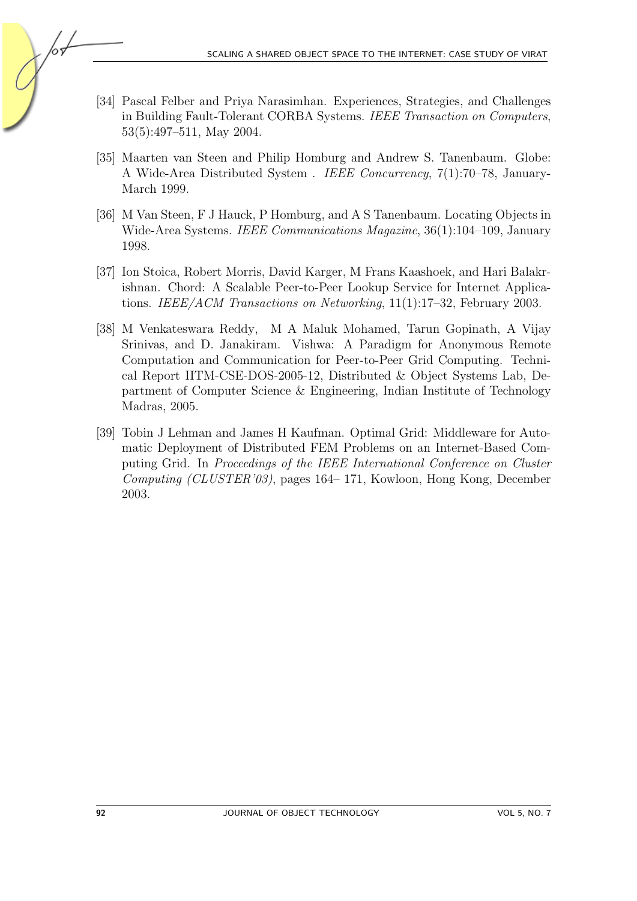- <span id="page-17-0"></span>[34] Pascal Felber and Priya Narasimhan. Experiences, Strategies, and Challenges in Building Fault-Tolerant CORBA Systems. IEEE Transaction on Computers, 53(5):497–511, May 2004.
- <span id="page-17-1"></span>[35] Maarten van Steen and Philip Homburg and Andrew S. Tanenbaum. Globe: A Wide-Area Distributed System . IEEE Concurrency, 7(1):70–78, January-March 1999.
- <span id="page-17-2"></span>[36] M Van Steen, F J Hauck, P Homburg, and A S Tanenbaum. Locating Objects in Wide-Area Systems. IEEE Communications Magazine, 36(1):104–109, January 1998.
- <span id="page-17-3"></span>[37] Ion Stoica, Robert Morris, David Karger, M Frans Kaashoek, and Hari Balakrishnan. Chord: A Scalable Peer-to-Peer Lookup Service for Internet Applications. IEEE/ACM Transactions on Networking, 11(1):17–32, February 2003.
- <span id="page-17-4"></span>[38] M Venkateswara Reddy, M A Maluk Mohamed, Tarun Gopinath, A Vijay Srinivas, and D. Janakiram. Vishwa: A Paradigm for Anonymous Remote Computation and Communication for Peer-to-Peer Grid Computing. Technical Report IITM-CSE-DOS-2005-12, Distributed & Object Systems Lab, Department of Computer Science & Engineering, Indian Institute of Technology Madras, 2005.
- <span id="page-17-5"></span>[39] Tobin J Lehman and James H Kaufman. Optimal Grid: Middleware for Automatic Deployment of Distributed FEM Problems on an Internet-Based Computing Grid. In Proceedings of the IEEE International Conference on Cluster Computing (CLUSTER'03), pages 164– 171, Kowloon, Hong Kong, December 2003.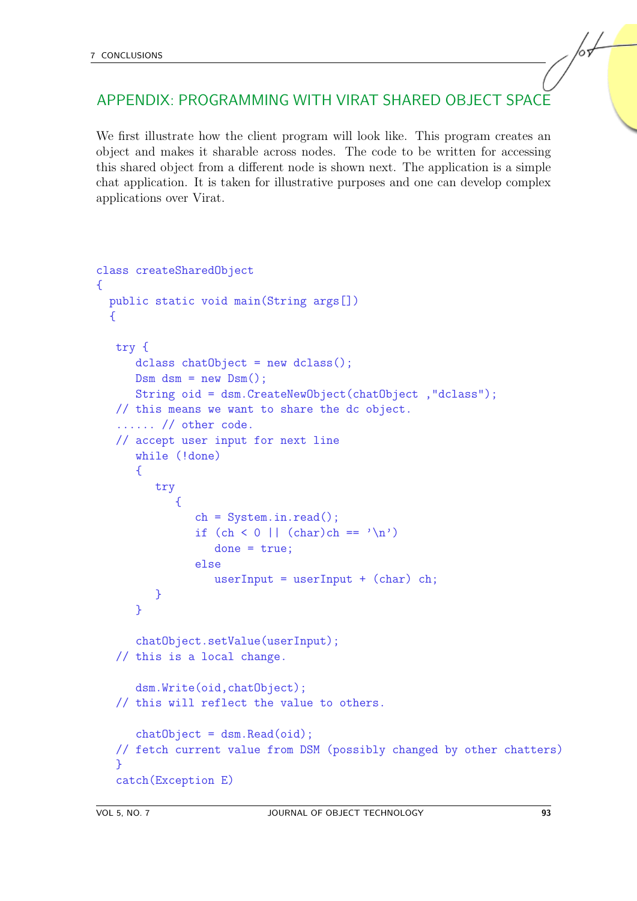# APPENDIX: PROGRAMMING WITH VIRAT SHARED OBJECT SPACE

We first illustrate how the client program will look like. This program creates an object and makes it sharable across nodes. The code to be written for accessing this shared object from a different node is shown next. The application is a simple chat application. It is taken for illustrative purposes and one can develop complex applications over Virat.

```
class createSharedObject
{
  public static void main(String args[])
  {
   try {
      dclass chatObject = new dclass();
      DSm dsm = new DSm();
      String oid = dsm.CreateNewObject(chatObject ,"dclass");
   // this means we want to share the dc object.
   ...... // other code.
   // accept user input for next line
      while (!done)
      {
         try
            {
               ch = System.in.read();if (ch < 0 || (char)ch == 'n')done = true:
               else
                  userInput = userInput + (char) ch;
         }
      }
      chatObject.setValue(userInput);
   // this is a local change.
      dsm.Write(oid,chatObject);
   // this will reflect the value to others.
      chatObject = dsm.Fead(oid);// fetch current value from DSM (possibly changed by other chatters)
   }
   catch(Exception E)
```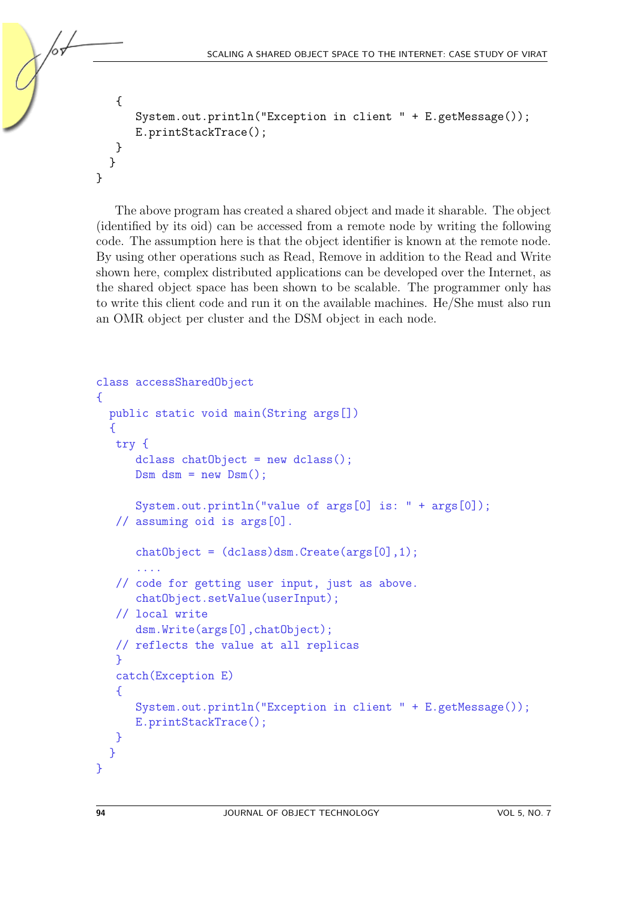```
{
      System.out.println("Exception in client " + E.getMessage());
      E.printStackTrace();
   }
  }
}
```
The above program has created a shared object and made it sharable. The object (identified by its oid) can be accessed from a remote node by writing the following code. The assumption here is that the object identifier is known at the remote node. By using other operations such as Read, Remove in addition to the Read and Write shown here, complex distributed applications can be developed over the Internet, as the shared object space has been shown to be scalable. The programmer only has to write this client code and run it on the available machines. He/She must also run an OMR object per cluster and the DSM object in each node.

```
class accessSharedObject
\mathcal{L}public static void main(String args[])
  {
   try {
      dclass chatObject = new dclass();
      DSm dsm = new DSm();
      System.out.println("value of args[0] is: " + args[0]);
   // assuming oid is args[0].
      chatObject = (dclass)dsm.Create(args[0], 1);....
   // code for getting user input, just as above.
      chatObject.setValue(userInput);
   // local write
      dsm.Write(args[0],chatObject);
   // reflects the value at all replicas
   }
   catch(Exception E)
   \overline{f}System.out.println("Exception in client " + E.getMessage());
      E.printStackTrace();
   }
  }
}
```